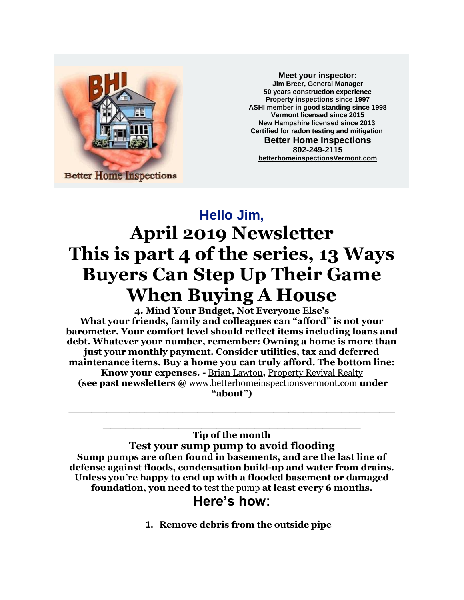

**Meet your inspector: Jim Breer, General Manager 50 years construction experience Property inspections since 1997 ASHI member in good standing since 1998 Vermont licensed since 2015 New Hampshire licensed since 2013 Certified for radon testing and mitigation Better Home Inspections 802-249-2115 [betterhomeinspectionsVermont.com](http://betterhomeinspectionsvermont.com/)**

## **Hello Jim, April 2019 Newsletter This is part 4 of the series, 13 Ways Buyers Can Step Up Their Game When Buying A House**

**4. Mind Your Budget, Not Everyone Else's What your friends, family and colleagues can "afford" is not your barometer. Your comfort level should reflect items including loans and debt. Whatever your number, remember: Owning a home is more than just your monthly payment. Consider utilities, tax and deferred maintenance items. Buy a home you can truly afford. The bottom line: Know your expenses. -** [Brian Lawton](https://www.linkedin.com/in/rethinkrealestate)**,** [Property Revival Realty](http://www.propertyrevivalrealty.com/) **(see past newsletters @** [www.betterhomeinspectionsvermont.com](http://www.betterhomeinspectionsvermont.com/) **under "about")**

**\_\_\_\_\_\_\_\_\_\_\_\_\_\_\_\_\_\_\_\_\_\_\_\_\_\_\_\_\_\_\_\_\_\_\_\_\_\_\_\_\_\_\_**

**\_\_\_\_\_\_\_\_\_\_\_\_\_\_\_\_\_\_\_\_\_\_\_\_\_\_\_\_\_\_\_\_\_\_ Tip of the month Test your sump pump to avoid flooding Sump pumps are often found in basements, and are the last line of defense against floods, condensation build-up and water from drains. Unless you're happy to end up with a flooded basement or damaged foundation, you need to** [test the pump](http://homeguides.sfgate.com/test-sump-pump-34954.html) **at least every 6 months.**

**Here's how:**

**1. Remove debris from the outside pipe**